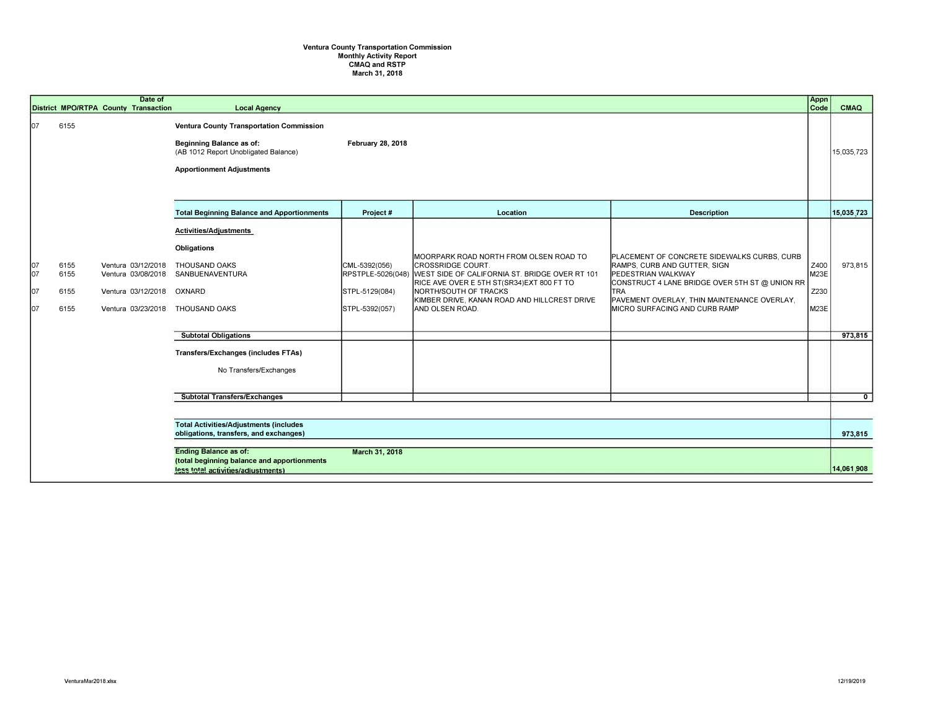## **Ventura County Transportation Commission Monthly Activity Report CMAQ and RSTP March 31, 2018**

|                          |                              | Date of<br>District MPO/RTPA County Transaction                | <b>Local Agency</b>                                                                                                                                     |                                                                        |                                                                                                                                                                                                                                                          |                                                                                                                                                                                                                                                   | Appn<br>Code                 | <b>CMAQ</b>    |
|--------------------------|------------------------------|----------------------------------------------------------------|---------------------------------------------------------------------------------------------------------------------------------------------------------|------------------------------------------------------------------------|----------------------------------------------------------------------------------------------------------------------------------------------------------------------------------------------------------------------------------------------------------|---------------------------------------------------------------------------------------------------------------------------------------------------------------------------------------------------------------------------------------------------|------------------------------|----------------|
| 107                      | 6155                         |                                                                | <b>Ventura County Transportation Commission</b><br>Beginning Balance as of:<br>(AB 1012 Report Unobligated Balance)<br><b>Apportionment Adjustments</b> | February 28, 2018                                                      |                                                                                                                                                                                                                                                          |                                                                                                                                                                                                                                                   |                              | 15,035,723     |
|                          |                              |                                                                | <b>Total Beginning Balance and Apportionments</b>                                                                                                       | Project#                                                               | Location                                                                                                                                                                                                                                                 | <b>Description</b>                                                                                                                                                                                                                                |                              | 15,035,723     |
| 107<br>107<br>107<br>107 | 6155<br>6155<br>6155<br>6155 | Ventura 03/12/2018<br>Ventura 03/12/2018<br>Ventura 03/23/2018 | Activities/Adjustments<br>Obligations<br>THOUSAND OAKS<br>Ventura 03/08/2018 SANBUENAVENTURA<br>OXNARD<br>THOUSAND OAKS                                 | CML-5392(056)<br>RPSTPLE-5026(048)<br>STPL-5129(084)<br>STPL-5392(057) | IMOORPARK ROAD NORTH FROM OLSEN ROAD TO<br>ICROSSRIDGE COURT.<br>WEST SIDE OF CALIFORNIA ST. BRIDGE OVER RT 101<br>RICE AVE OVER E 5TH ST(SR34)EXT 800 FT TO<br>NORTH/SOUTH OF TRACKS<br>KIMBER DRIVE, KANAN ROAD AND HILLCREST DRIVE<br>AND OLSEN ROAD. | PLACEMENT OF CONCRETE SIDEWALKS CURBS, CURB<br>RAMPS, CURB AND GUTTER, SIGN<br>PEDESTRIAN WALKWAY<br>CONSTRUCT 4 LANE BRIDGE OVER 5TH ST @ UNION RR<br><b>TRA</b><br>PAVEMENT OVERLAY, THIN MAINTENANCE OVERLAY,<br>MICRO SURFACING AND CURB RAMP | Z400<br>M23E<br>Z230<br>M23E | 973,815        |
|                          |                              |                                                                | <b>Subtotal Obligations</b>                                                                                                                             |                                                                        |                                                                                                                                                                                                                                                          |                                                                                                                                                                                                                                                   |                              | 973,815        |
|                          |                              |                                                                | Transfers/Exchanges (includes FTAs)<br>No Transfers/Exchanges                                                                                           |                                                                        |                                                                                                                                                                                                                                                          |                                                                                                                                                                                                                                                   |                              |                |
|                          |                              |                                                                | <b>Subtotal Transfers/Exchanges</b>                                                                                                                     |                                                                        |                                                                                                                                                                                                                                                          |                                                                                                                                                                                                                                                   |                              | $\overline{0}$ |
|                          |                              |                                                                |                                                                                                                                                         |                                                                        |                                                                                                                                                                                                                                                          |                                                                                                                                                                                                                                                   |                              |                |
|                          |                              |                                                                | <b>Total Activities/Adjustments (includes</b><br>obligations, transfers, and exchanges)                                                                 |                                                                        |                                                                                                                                                                                                                                                          |                                                                                                                                                                                                                                                   |                              | 973,815        |
|                          |                              |                                                                | <b>Ending Balance as of:</b><br>(total beginning balance and apportionments<br>less total activities/adjustments)                                       | March 31, 2018                                                         |                                                                                                                                                                                                                                                          |                                                                                                                                                                                                                                                   |                              | 14,061,908     |